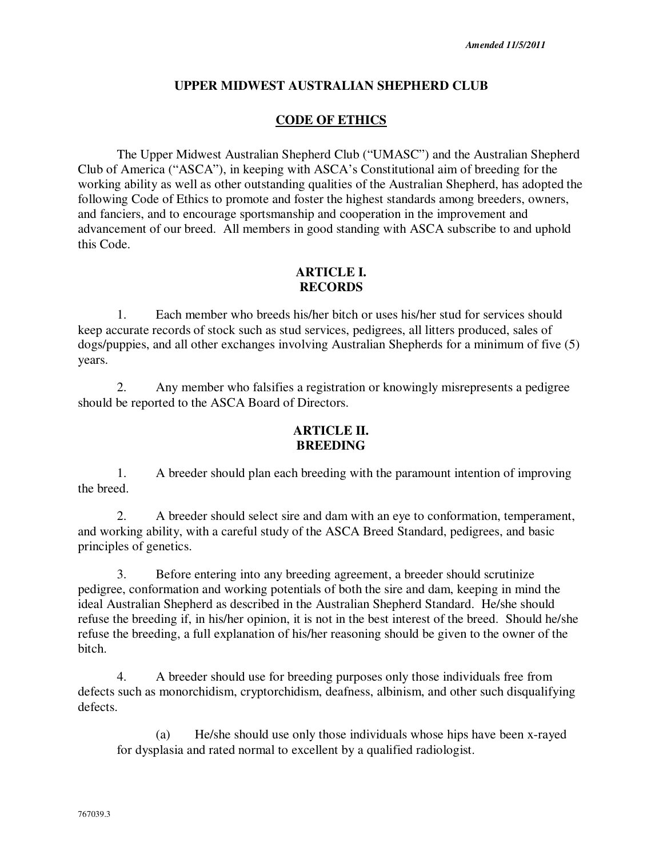# **UPPER MIDWEST AUSTRALIAN SHEPHERD CLUB**

### **CODE OF ETHICS**

The Upper Midwest Australian Shepherd Club ("UMASC") and the Australian Shepherd Club of America ("ASCA"), in keeping with ASCA's Constitutional aim of breeding for the working ability as well as other outstanding qualities of the Australian Shepherd, has adopted the following Code of Ethics to promote and foster the highest standards among breeders, owners, and fanciers, and to encourage sportsmanship and cooperation in the improvement and advancement of our breed. All members in good standing with ASCA subscribe to and uphold this Code.

## **ARTICLE I. RECORDS**

1. Each member who breeds his/her bitch or uses his/her stud for services should keep accurate records of stock such as stud services, pedigrees, all litters produced, sales of dogs/puppies, and all other exchanges involving Australian Shepherds for a minimum of five (5) years.

2. Any member who falsifies a registration or knowingly misrepresents a pedigree should be reported to the ASCA Board of Directors.

### **ARTICLE II. BREEDING**

1. A breeder should plan each breeding with the paramount intention of improving the breed.

2. A breeder should select sire and dam with an eye to conformation, temperament, and working ability, with a careful study of the ASCA Breed Standard, pedigrees, and basic principles of genetics.

3. Before entering into any breeding agreement, a breeder should scrutinize pedigree, conformation and working potentials of both the sire and dam, keeping in mind the ideal Australian Shepherd as described in the Australian Shepherd Standard. He/she should refuse the breeding if, in his/her opinion, it is not in the best interest of the breed. Should he/she refuse the breeding, a full explanation of his/her reasoning should be given to the owner of the bitch.

4. A breeder should use for breeding purposes only those individuals free from defects such as monorchidism, cryptorchidism, deafness, albinism, and other such disqualifying defects.

(a) He/she should use only those individuals whose hips have been x-rayed for dysplasia and rated normal to excellent by a qualified radiologist.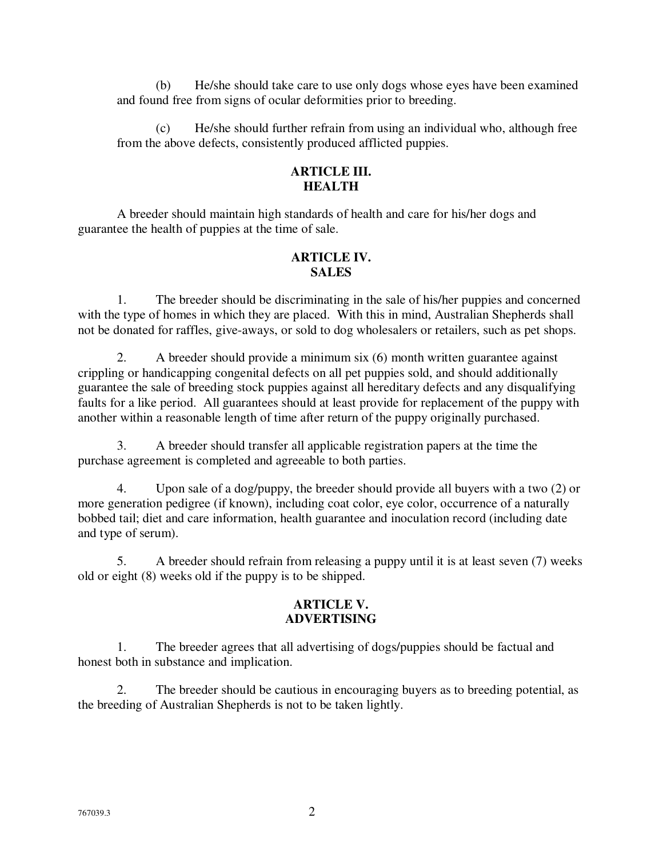(b) He/she should take care to use only dogs whose eyes have been examined and found free from signs of ocular deformities prior to breeding.

(c) He/she should further refrain from using an individual who, although free from the above defects, consistently produced afflicted puppies.

# **ARTICLE III. HEALTH**

A breeder should maintain high standards of health and care for his/her dogs and guarantee the health of puppies at the time of sale.

## **ARTICLE IV. SALES**

1. The breeder should be discriminating in the sale of his/her puppies and concerned with the type of homes in which they are placed. With this in mind, Australian Shepherds shall not be donated for raffles, give-aways, or sold to dog wholesalers or retailers, such as pet shops.

2. A breeder should provide a minimum six (6) month written guarantee against crippling or handicapping congenital defects on all pet puppies sold, and should additionally guarantee the sale of breeding stock puppies against all hereditary defects and any disqualifying faults for a like period. All guarantees should at least provide for replacement of the puppy with another within a reasonable length of time after return of the puppy originally purchased.

3. A breeder should transfer all applicable registration papers at the time the purchase agreement is completed and agreeable to both parties.

4. Upon sale of a dog/puppy, the breeder should provide all buyers with a two (2) or more generation pedigree (if known), including coat color, eye color, occurrence of a naturally bobbed tail; diet and care information, health guarantee and inoculation record (including date and type of serum).

5. A breeder should refrain from releasing a puppy until it is at least seven (7) weeks old or eight (8) weeks old if the puppy is to be shipped.

# **ARTICLE V. ADVERTISING**

1. The breeder agrees that all advertising of dogs/puppies should be factual and honest both in substance and implication.

2. The breeder should be cautious in encouraging buyers as to breeding potential, as the breeding of Australian Shepherds is not to be taken lightly.